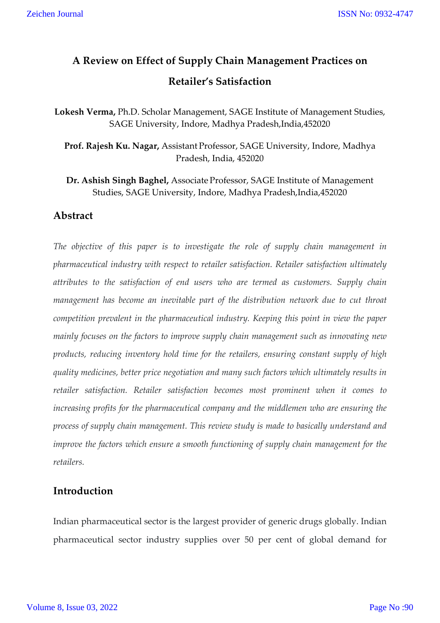# **A Review on Effect of Supply Chain Management Practices on Retailer's Satisfaction**

**Lokesh Verma,** Ph.D. Scholar Management, SAGE Institute of Management Studies, SAGE University, Indore, Madhya Pradesh,India,452020

**Prof. Rajesh Ku. Nagar,** Assistant Professor, SAGE University, Indore, Madhya Pradesh, India, 452020

**Dr. Ashish Singh Baghel,** Associate Professor, SAGE Institute of Management Studies, SAGE University, Indore, Madhya Pradesh,India,452020

## **Abstract**

*The objective of this paper is to investigate the role of supply chain management in pharmaceutical industry with respect to retailer satisfaction. Retailer satisfaction ultimately attributes to the satisfaction of end users who are termed as customers. Supply chain management has become an inevitable part of the distribution network due to cut throat competition prevalent in the pharmaceutical industry. Keeping this point in view the paper mainly focuses on the factors to improve supply chain management such as innovating new products, reducing inventory hold time for the retailers, ensuring constant supply of high quality medicines, better price negotiation and many such factors which ultimately results in retailer satisfaction. Retailer satisfaction becomes most prominent when it comes to increasing profits for the pharmaceutical company and the middlemen who are ensuring the process of supply chain management. This review study is made to basically understand and improve the factors which ensure a smooth functioning of supply chain management for the retailers.*

# **Introduction**

Indian pharmaceutical sector is the largest provider of generic drugs globally. Indian pharmaceutical sector industry supplies over 50 per cent of global demand for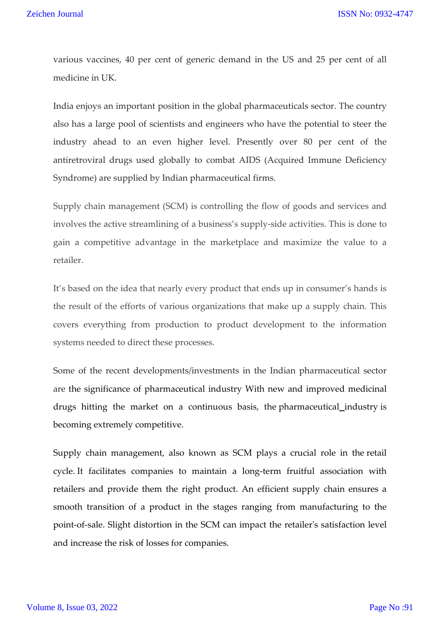various vaccines, 40 per cent of generic demand in the US and 25 per cent of all medicine in UK.

India enjoys an important position in the global pharmaceuticals sector. The country also has a large pool of scientists and engineers who have the potential to steer the industry ahead to an even higher level. Presently over 80 per cent of the antiretroviral drugs used globally to combat AIDS (Acquired Immune Deficiency Syndrome) are supplied by Indian pharmaceutical firms.

Supply chain management (SCM) is controlling the flow of goods and services and involves the active streamlining of a business's supply-side activities. This is done to gain a competitive advantage in the marketplace and maximize the value to a retailer.

It's based on the idea that nearly every product that ends up in consumer's hands is the result of the efforts of various organizations that make up a supply chain. This covers everything from production to product development to the information systems needed to direct these processes.

Some of the recent developments/investments in the Indian pharmaceutical sector are the significance of pharmaceutical industry With new and improved medicinal drugs hitting the market on a continuous basis, the pharmaceutical industry is becoming extremely competitive.

Supply chain management, also known as SCM plays a crucial role in the retail cycle. It facilitates companies to maintain a long-term fruitful association with retailers and provide them the right product. An efficient supply chain ensures a smooth transition of a product in the stages ranging from manufacturing to the point-of-sale. Slight distortion in the SCM can impact the retailer's satisfaction level and increase the risk of losses for companies.

#### Volume 8, Issue 03, 2022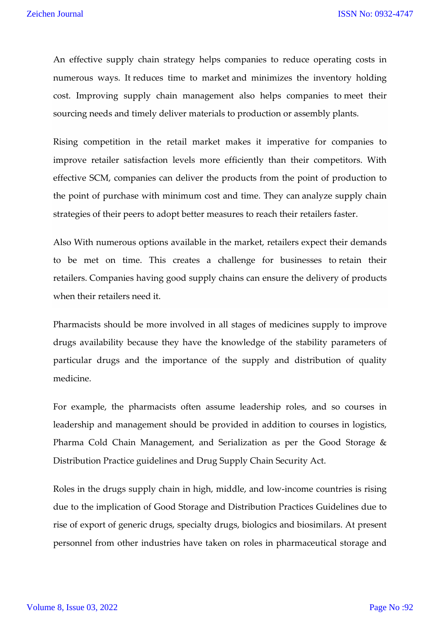An effective supply chain strategy helps companies to reduce operating costs in numerous ways. It reduces time to market and minimizes the inventory holding cost. Improving supply chain management also helps companies to meet their sourcing needs and timely deliver materials to production or assembly plants.

Rising competition in the retail market makes it imperative for companies to improve retailer satisfaction levels more efficiently than their competitors. With effective SCM, companies can deliver the products from the point of production to the point of purchase with minimum cost and time. They can analyze supply chain strategies of their peers to adopt better measures to reach their retailers faster.

Also With numerous options available in the market, retailers expect their demands to be met on time. This creates a challenge for businesses to retain their retailers. Companies having good supply chains can ensure the delivery of products when their retailers need it.

Pharmacists should be more involved in all stages of medicines supply to improve drugs availability because they have the knowledge of the stability parameters of particular drugs and the importance of the supply and distribution of quality medicine.

For example, the pharmacists often assume leadership roles, and so courses in leadership and management should be provided in addition to courses in logistics, Pharma Cold Chain Management, and Serialization as per the Good Storage & Distribution Practice guidelines and Drug Supply Chain Security Act.

Roles in the drugs supply chain in high, middle, and low-income countries is rising due to the implication of Good Storage and Distribution Practices Guidelines due to rise of export of generic drugs, specialty drugs, biologics and biosimilars. At present personnel from other industries have taken on roles in pharmaceutical storage and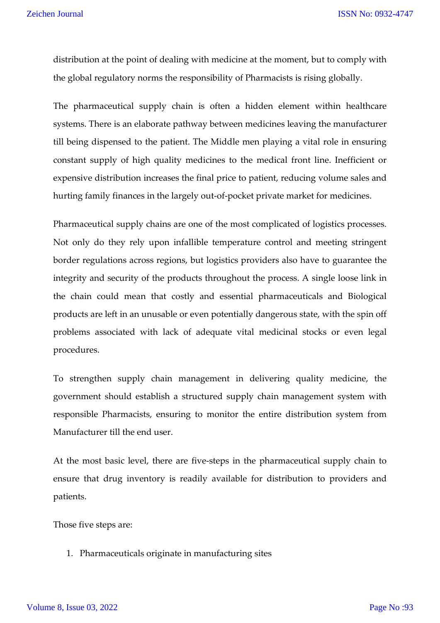distribution at the point of dealing with medicine at the moment, but to comply with the global regulatory norms the responsibility of Pharmacists is rising globally.

The pharmaceutical supply chain is often a hidden element within healthcare systems. There is an elaborate pathway between medicines leaving the manufacturer till being dispensed to the patient. The Middle men playing a vital role in ensuring constant supply of high quality medicines to the medical front line. Inefficient or expensive distribution increases the final price to patient, reducing volume sales and hurting family finances in the largely out-of-pocket private market for medicines.

Pharmaceutical supply chains are one of the most complicated of logistics processes. Not only do they rely upon infallible temperature control and meeting stringent border regulations across regions, but logistics providers also have to guarantee the integrity and security of the products throughout the process. A single loose link in the chain could mean that costly and essential pharmaceuticals and Biological products are left in an unusable or even potentially dangerous state, with the spin off problems associated with lack of adequate vital medicinal stocks or even legal procedures.

To strengthen supply chain management in delivering quality medicine, the government should establish a structured supply chain management system with responsible Pharmacists, ensuring to monitor the entire distribution system from Manufacturer till the end user.

At the most basic level, there are five-steps in the pharmaceutical supply chain to ensure that drug inventory is readily available for distribution to providers and patients.

Those five steps are:

1. Pharmaceuticals originate in manufacturing sites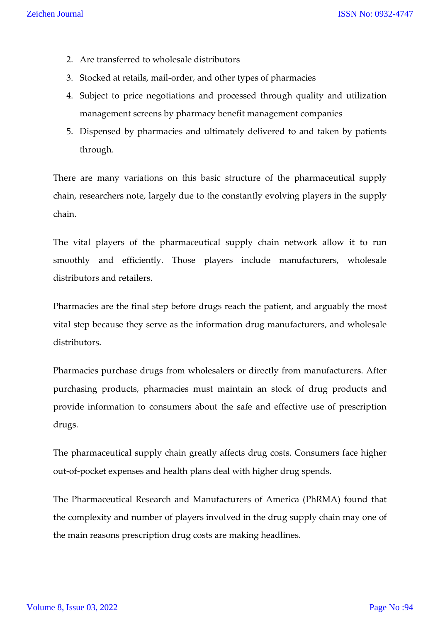- 2. Are transferred to wholesale distributors
- 3. Stocked at retails, mail-order, and other types of pharmacies
- 4. Subject to price negotiations and processed through quality and utilization management screens by pharmacy benefit management companies
- 5. Dispensed by pharmacies and ultimately delivered to and taken by patients through.

There are many variations on this basic structure of the pharmaceutical supply chain, researchers note, largely due to the constantly evolving players in the supply chain.

The vital players of the pharmaceutical supply chain network allow it to run smoothly and efficiently. Those players include manufacturers, wholesale distributors and retailers.

Pharmacies are the final step before drugs reach the patient, and arguably the most vital step because they serve as the information drug manufacturers, and wholesale distributors.

Pharmacies purchase drugs from wholesalers or directly from manufacturers. After purchasing products, pharmacies must maintain an stock of drug products and provide information to consumers about the safe and effective use of prescription drugs.

The pharmaceutical supply chain greatly affects drug costs. Consumers face higher out-of-pocket expenses and health plans deal with higher drug spends.

The Pharmaceutical Research and Manufacturers of America (PhRMA) found that the complexity and number of players involved in the drug supply chain may one of the main reasons prescription drug costs are making headlines.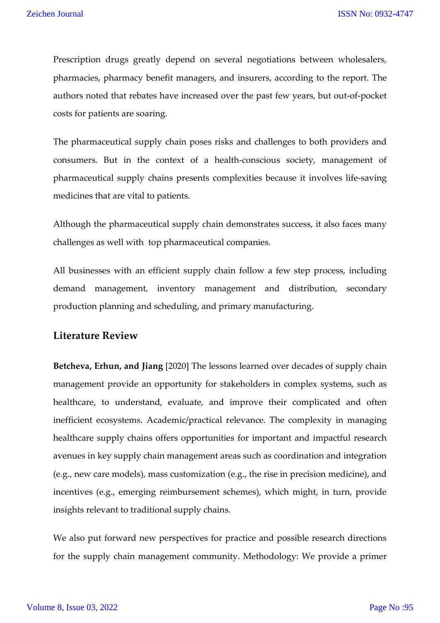Prescription drugs greatly depend on several negotiations between wholesalers, pharmacies, pharmacy benefit managers, and insurers, according to the report. The authors noted that rebates have increased over the past few years, but out-of-pocket costs for patients are soaring.

The pharmaceutical supply chain poses risks and challenges to both providers and consumers. But in the context of a health-conscious society, management of pharmaceutical supply chains presents complexities because it involves life-saving medicines that are vital to patients.

Although the pharmaceutical supply chain demonstrates success, it also faces many challenges as well with top pharmaceutical companies.

All businesses with an efficient supply chain follow a few step process, including demand management, inventory management and distribution, secondary production planning and scheduling, and primary manufacturing.

### **Literature Review**

**Betcheva, Erhun, and Jiang** [2020] The lessons learned over decades of supply chain management provide an opportunity for stakeholders in complex systems, such as healthcare, to understand, evaluate, and improve their complicated and often inefficient ecosystems. Academic/practical relevance. The complexity in managing healthcare supply chains offers opportunities for important and impactful research avenues in key supply chain management areas such as coordination and integration (e.g., new care models), mass customization (e.g., the rise in precision medicine), and incentives (e.g., emerging reimbursement schemes), which might, in turn, provide insights relevant to traditional supply chains.

We also put forward new perspectives for practice and possible research directions for the supply chain management community. Methodology: We provide a primer

#### Volume 8, Issue 03, 2022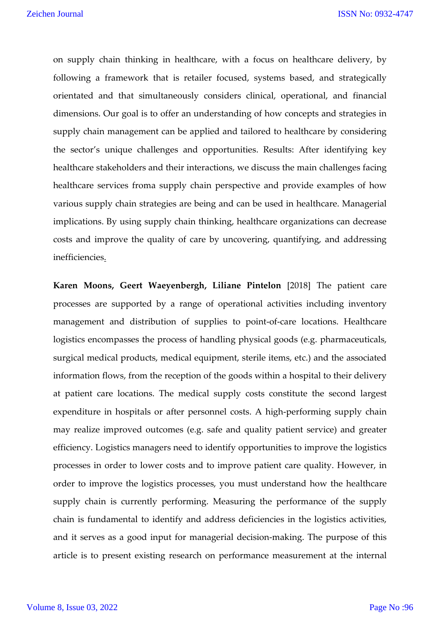on supply chain thinking in healthcare, with a focus on healthcare delivery, by following a framework that is retailer focused, systems based, and strategically orientated and that simultaneously considers clinical, operational, and financial dimensions. Our goal is to offer an understanding of how concepts and strategies in supply chain management can be applied and tailored to healthcare by considering the sector's unique challenges and opportunities. Results: After identifying key healthcare stakeholders and their interactions, we discuss the main challenges facing healthcare services froma supply chain perspective and provide examples of how various supply chain strategies are being and can be used in healthcare. Managerial implications. By using supply chain thinking, healthcare organizations can decrease costs and improve the quality of care by uncovering, quantifying, and addressing inefficiencies.

**Karen Moons, Geert Waeyenbergh, Liliane Pintelon** [2018] The patient care processes are supported by a range of operational activities including inventory management and distribution of supplies to point-of-care locations. Healthcare logistics encompasses the process of handling physical goods (e.g. pharmaceuticals, surgical medical products, medical equipment, sterile items, etc.) and the associated information flows, from the reception of the goods within a hospital to their delivery at patient care locations. The medical supply costs constitute the second largest expenditure in hospitals or after personnel costs. A high-performing supply chain may realize improved outcomes (e.g. safe and quality patient service) and greater efficiency. Logistics managers need to identify opportunities to improve the logistics processes in order to lower costs and to improve patient care quality. However, in order to improve the logistics processes, you must understand how the healthcare supply chain is currently performing. Measuring the performance of the supply chain is fundamental to identify and address deficiencies in the logistics activities, and it serves as a good input for managerial decision-making. The purpose of this article is to present existing research on performance measurement at the internal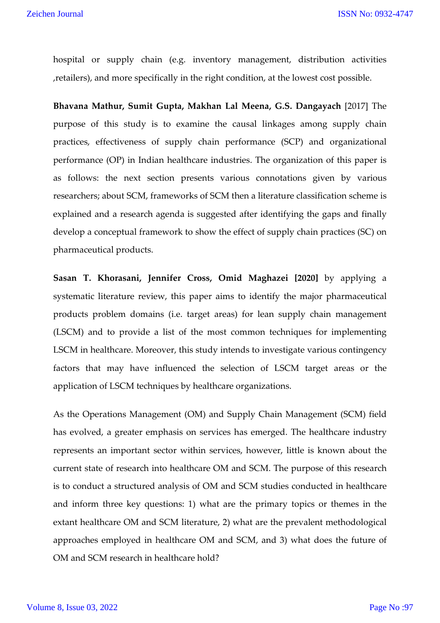hospital or supply chain (e.g. inventory management, distribution activities ,retailers), and more specifically in the right condition, at the lowest cost possible.

**Bhavana Mathur, Sumit Gupta, Makhan Lal Meena, G.S. Dangayach** [2017] The purpose of this study is to examine the causal linkages among supply chain practices, effectiveness of supply chain performance (SCP) and organizational performance (OP) in Indian healthcare industries. The organization of this paper is as follows: the next section presents various connotations given by various researchers; about SCM, frameworks of SCM then a literature classification scheme is explained and a research agenda is suggested after identifying the gaps and finally develop a conceptual framework to show the effect of supply chain practices (SC) on pharmaceutical products.

**Sasan T. Khorasani, Jennifer Cross, Omid Maghazei [2020]** by applying a systematic literature review, this paper aims to identify the major pharmaceutical products problem domains (i.e. target areas) for lean supply chain management (LSCM) and to provide a list of the most common techniques for implementing LSCM in healthcare. Moreover, this study intends to investigate various contingency factors that may have influenced the selection of LSCM target areas or the application of LSCM techniques by healthcare organizations.

As the Operations Management (OM) and Supply Chain Management (SCM) field has evolved, a greater emphasis on services has emerged. The healthcare industry represents an important sector within services, however, little is known about the current state of research into healthcare OM and SCM. The purpose of this research is to conduct a structured analysis of OM and SCM studies conducted in healthcare and inform three key questions: 1) what are the primary topics or themes in the extant healthcare OM and SCM literature, 2) what are the prevalent methodological approaches employed in healthcare OM and SCM, and 3) what does the future of OM and SCM research in healthcare hold?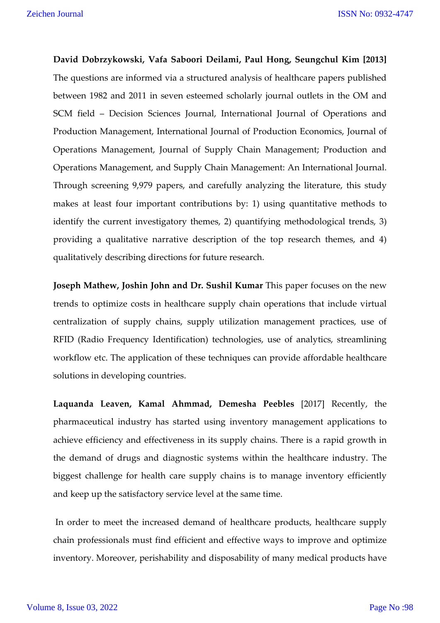**David Dobrzykowski, Vafa Saboori Deilami, Paul Hong, Seungchul Kim [2013]** The questions are informed via a structured analysis of healthcare papers published between 1982 and 2011 in seven esteemed scholarly journal outlets in the OM and SCM field – Decision Sciences Journal, International Journal of Operations and Production Management, International Journal of Production Economics, Journal of Operations Management, Journal of Supply Chain Management; Production and Operations Management, and Supply Chain Management: An International Journal. Through screening 9,979 papers, and carefully analyzing the literature, this study makes at least four important contributions by: 1) using quantitative methods to identify the current investigatory themes, 2) quantifying methodological trends, 3) providing a qualitative narrative description of the top research themes, and 4) qualitatively describing directions for future research.

**Joseph Mathew, Joshin John and Dr. Sushil Kumar** This paper focuses on the new trends to optimize costs in healthcare supply chain operations that include virtual centralization of supply chains, supply utilization management practices, use of RFID (Radio Frequency Identification) technologies, use of analytics, streamlining workflow etc. The application of these techniques can provide affordable healthcare solutions in developing countries.

**Laquanda Leaven, Kamal Ahmmad, Demesha Peebles** [2017] Recently, the pharmaceutical industry has started using inventory management applications to achieve efficiency and effectiveness in its supply chains. There is a rapid growth in the demand of drugs and diagnostic systems within the healthcare industry. The biggest challenge for health care supply chains is to manage inventory efficiently and keep up the satisfactory service level at the same time.

In order to meet the increased demand of healthcare products, healthcare supply chain professionals must find efficient and effective ways to improve and optimize inventory. Moreover, perishability and disposability of many medical products have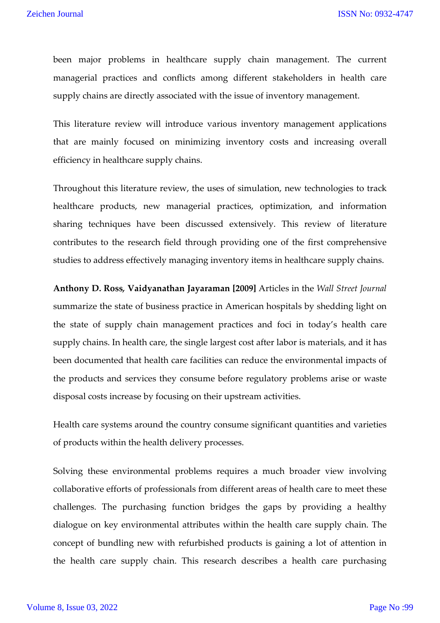been major problems in healthcare supply chain management. The current managerial practices and conflicts among different stakeholders in health care supply chains are directly associated with the issue of inventory management.

This literature review will introduce various inventory management applications that are mainly focused on minimizing inventory costs and increasing overall efficiency in healthcare supply chains.

Throughout this literature review, the uses of simulation, new technologies to track healthcare products, new managerial practices, optimization, and information sharing techniques have been discussed extensively. This review of literature contributes to the research field through providing one of the first comprehensive studies to address effectively managing inventory items in healthcare supply chains.

**Anthony D. Ross***,* **Vaidyanathan Jayaraman [2009]** Articles in the *Wall Street Journal*  summarize the state of business practice in American hospitals by shedding light on the state of supply chain management practices and foci in today's health care supply chains. In health care, the single largest cost after labor is materials, and it has been documented that health care facilities can reduce the environmental impacts of the products and services they consume before regulatory problems arise or waste disposal costs increase by focusing on their upstream activities.

Health care systems around the country consume significant quantities and varieties of products within the health delivery processes.

Solving these environmental problems requires a much broader view involving collaborative efforts of professionals from different areas of health care to meet these challenges. The purchasing function bridges the gaps by providing a healthy dialogue on key environmental attributes within the health care supply chain. The concept of bundling new with refurbished products is gaining a lot of attention in the health care supply chain. This research describes a health care purchasing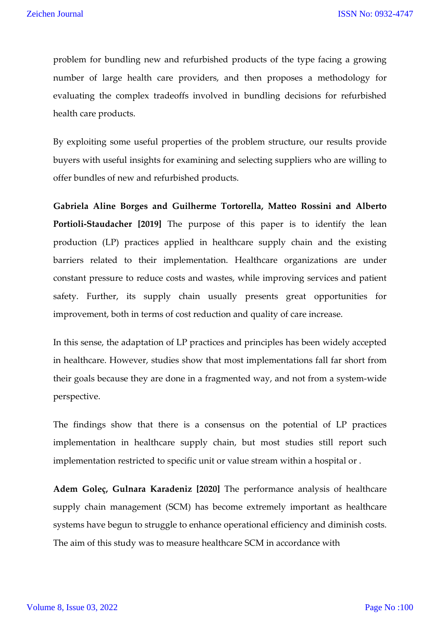problem for bundling new and refurbished products of the type facing a growing number of large health care providers, and then proposes a methodology for evaluating the complex tradeoffs involved in bundling decisions for refurbished health care products.

By exploiting some useful properties of the problem structure, our results provide buyers with useful insights for examining and selecting suppliers who are willing to offer bundles of new and refurbished products.

**Gabriela Aline Borges and Guilherme Tortorella, Matteo Rossini and Alberto Portioli-Staudacher [2019]** The purpose of this paper is to identify the lean production (LP) practices applied in healthcare supply chain and the existing barriers related to their implementation. Healthcare organizations are under constant pressure to reduce costs and wastes, while improving services and patient safety. Further, its supply chain usually presents great opportunities for improvement, both in terms of cost reduction and quality of care increase.

In this sense, the adaptation of LP practices and principles has been widely accepted in healthcare. However, studies show that most implementations fall far short from their goals because they are done in a fragmented way, and not from a system-wide perspective.

The findings show that there is a consensus on the potential of LP practices implementation in healthcare supply chain, but most studies still report such implementation restricted to specific unit or value stream within a hospital or .

**Adem Goleç, Gulnara Karadeniz [2020]** The performance analysis of healthcare supply chain management (SCM) has become extremely important as healthcare systems have begun to struggle to enhance operational efficiency and diminish costs. The aim of this study was to measure healthcare SCM in accordance with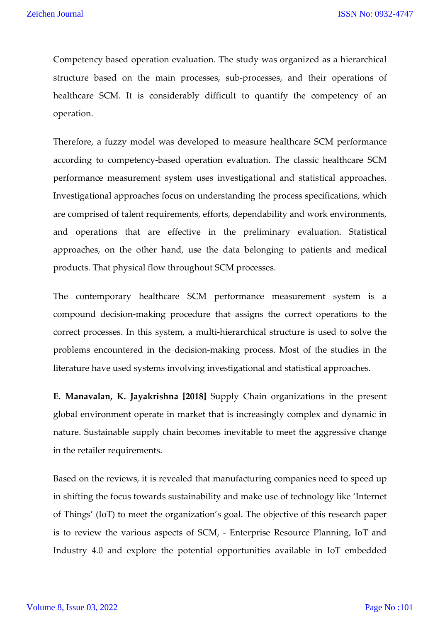Competency based operation evaluation. The study was organized as a hierarchical structure based on the main processes, sub-processes, and their operations of healthcare SCM. It is considerably difficult to quantify the competency of an operation.

Therefore, a fuzzy model was developed to measure healthcare SCM performance according to competency-based operation evaluation. The classic healthcare SCM performance measurement system uses investigational and statistical approaches. Investigational approaches focus on understanding the process specifications, which are comprised of talent requirements, efforts, dependability and work environments, and operations that are effective in the preliminary evaluation. Statistical approaches, on the other hand, use the data belonging to patients and medical products. That physical flow throughout SCM processes.

The contemporary healthcare SCM performance measurement system is a compound decision-making procedure that assigns the correct operations to the correct processes. In this system, a multi-hierarchical structure is used to solve the problems encountered in the decision-making process. Most of the studies in the literature have used systems involving investigational and statistical approaches.

**E. Manavalan, K. Jayakrishna [2018]** Supply Chain organizations in the present global environment operate in market that is increasingly complex and dynamic in nature. Sustainable supply chain becomes inevitable to meet the aggressive change in the retailer requirements.

Based on the reviews, it is revealed that manufacturing companies need to speed up in shifting the focus towards sustainability and make use of technology like 'Internet of Things' (IoT) to meet the organization's goal. The objective of this research paper is to review the various aspects of SCM, - Enterprise Resource Planning, IoT and Industry 4.0 and explore the potential opportunities available in IoT embedded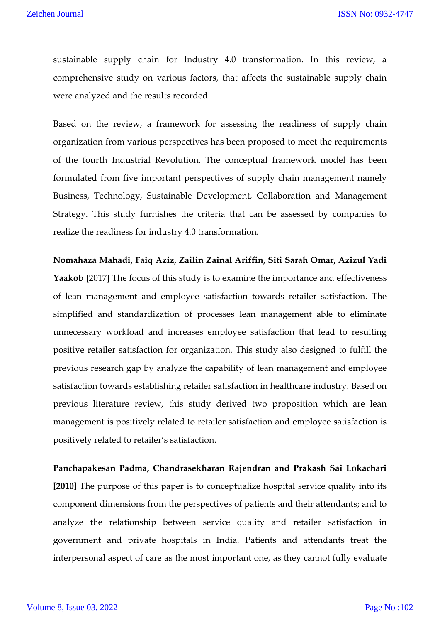sustainable supply chain for Industry 4.0 transformation. In this review, a comprehensive study on various factors, that affects the sustainable supply chain were analyzed and the results recorded.

Based on the review, a framework for assessing the readiness of supply chain organization from various perspectives has been proposed to meet the requirements of the fourth Industrial Revolution. The conceptual framework model has been formulated from five important perspectives of supply chain management namely Business, Technology, Sustainable Development, Collaboration and Management Strategy. This study furnishes the criteria that can be assessed by companies to realize the readiness for industry 4.0 transformation.

**Nomahaza Mahadi, Faiq Aziz, Zailin Zainal Ariffin, Siti Sarah Omar, Azizul Yadi Yaakob** [2017] The focus of this study is to examine the importance and effectiveness of lean management and employee satisfaction towards retailer satisfaction. The simplified and standardization of processes lean management able to eliminate unnecessary workload and increases employee satisfaction that lead to resulting positive retailer satisfaction for organization. This study also designed to fulfill the previous research gap by analyze the capability of lean management and employee satisfaction towards establishing retailer satisfaction in healthcare industry. Based on previous literature review, this study derived two proposition which are lean management is positively related to retailer satisfaction and employee satisfaction is positively related to retailer's satisfaction.

**Panchapakesan Padma, Chandrasekharan Rajendran and Prakash Sai Lokachari [2010]** The purpose of this paper is to conceptualize hospital service quality into its component dimensions from the perspectives of patients and their attendants; and to analyze the relationship between service quality and retailer satisfaction in government and private hospitals in India. Patients and attendants treat the interpersonal aspect of care as the most important one, as they cannot fully evaluate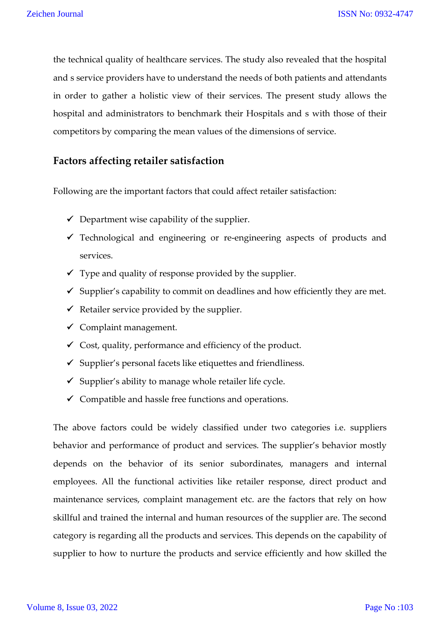the technical quality of healthcare services. The study also revealed that the hospital and s service providers have to understand the needs of both patients and attendants in order to gather a holistic view of their services. The present study allows the hospital and administrators to benchmark their Hospitals and s with those of their competitors by comparing the mean values of the dimensions of service.

## **Factors affecting retailer satisfaction**

Following are the important factors that could affect retailer satisfaction:

- $\checkmark$  Department wise capability of the supplier.
- Technological and engineering or re-engineering aspects of products and services.
- $\checkmark$  Type and quality of response provided by the supplier.
- $\checkmark$  Supplier's capability to commit on deadlines and how efficiently they are met.
- $\checkmark$  Retailer service provided by the supplier.
- $\checkmark$  Complaint management.
- $\checkmark$  Cost, quality, performance and efficiency of the product.
- $\checkmark$  Supplier's personal facets like etiquettes and friendliness.
- $\checkmark$  Supplier's ability to manage whole retailer life cycle.
- $\checkmark$  Compatible and hassle free functions and operations.

The above factors could be widely classified under two categories i.e. suppliers behavior and performance of product and services. The supplier's behavior mostly depends on the behavior of its senior subordinates, managers and internal employees. All the functional activities like retailer response, direct product and maintenance services, complaint management etc. are the factors that rely on how skillful and trained the internal and human resources of the supplier are. The second category is regarding all the products and services. This depends on the capability of supplier to how to nurture the products and service efficiently and how skilled the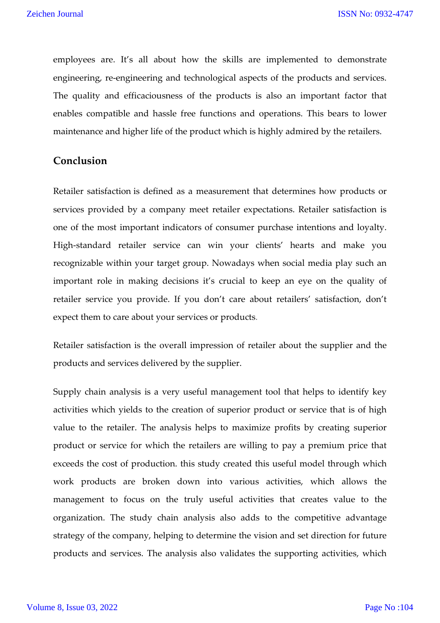ISSN No: 0932-4747

employees are. It's all about how the skills are implemented to demonstrate engineering, re-engineering and technological aspects of the products and services. The quality and efficaciousness of the products is also an important factor that enables compatible and hassle free functions and operations. This bears to lower maintenance and higher life of the product which is highly admired by the retailers.

#### **Conclusion**

Retailer satisfaction is defined as a measurement that determines how products or services provided by a company meet retailer expectations. Retailer satisfaction is one of the most important indicators of consumer purchase intentions and loyalty. High-standard retailer service can win your clients' hearts and make you recognizable within your target group. Nowadays when social media play such an important role in making decisions it's crucial to keep an eye on the quality of retailer service you provide. If you don't care about retailers' satisfaction, don't expect them to care about your services or products.

Retailer satisfaction is the overall impression of retailer about the supplier and the products and services delivered by the supplier.

Supply chain analysis is a very useful management tool that helps to identify key activities which yields to the creation of superior product or service that is of high value to the retailer. The analysis helps to maximize profits by creating superior product or service for which the retailers are willing to pay a premium price that exceeds the cost of production. this study created this useful model through which work products are broken down into various activities, which allows the management to focus on the truly useful activities that creates value to the organization. The study chain analysis also adds to the competitive advantage strategy of the company, helping to determine the vision and set direction for future products and services. The analysis also validates the supporting activities, which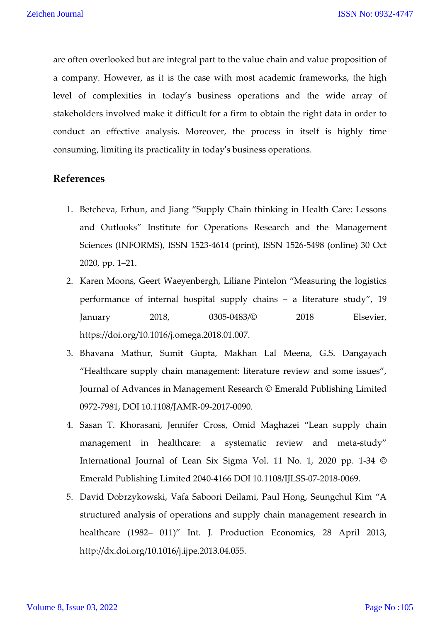are often overlooked but are integral part to the value chain and value proposition of a company. However, as it is the case with most academic frameworks, the high level of complexities in today's business operations and the wide array of stakeholders involved make it difficult for a firm to obtain the right data in order to conduct an effective analysis. Moreover, the process in itself is highly time consuming, limiting its practicality in today's business operations.

### **References**

- 1. Betcheva, Erhun, and Jiang "Supply Chain thinking in Health Care: Lessons and Outlooks" Institute for Operations Research and the Management Sciences (INFORMS), ISSN 1523-4614 (print), ISSN 1526-5498 (online) 30 Oct 2020, pp. 1–21.
- 2. Karen Moons, Geert Waeyenbergh, Liliane Pintelon "Measuring the logistics performance of internal hospital supply chains – a literature study", 19 January 2018, 0305-0483/© 2018 Elsevier, https://doi.org/10.1016/j.omega.2018.01.007.
- 3. Bhavana Mathur, Sumit Gupta, Makhan Lal Meena, G.S. Dangayach "Healthcare supply chain management: literature review and some issues", Journal of Advances in Management Research © Emerald Publishing Limited 0972-7981, DOI 10.1108/JAMR-09-2017-0090.
- 4. Sasan T. Khorasani, Jennifer Cross, Omid Maghazei "Lean supply chain management in healthcare: a systematic review and meta-study" International Journal of Lean Six Sigma Vol. 11 No. 1, 2020 pp. 1-34 © Emerald Publishing Limited 2040-4166 DOI 10.1108/IJLSS-07-2018-0069.
- 5. David Dobrzykowski, Vafa Saboori Deilami, Paul Hong, Seungchul Kim "A structured analysis of operations and supply chain management research in healthcare (1982– 011)" Int. J. Production Economics, 28 April 2013, http://dx.doi.org/10.1016/j.ijpe.2013.04.055.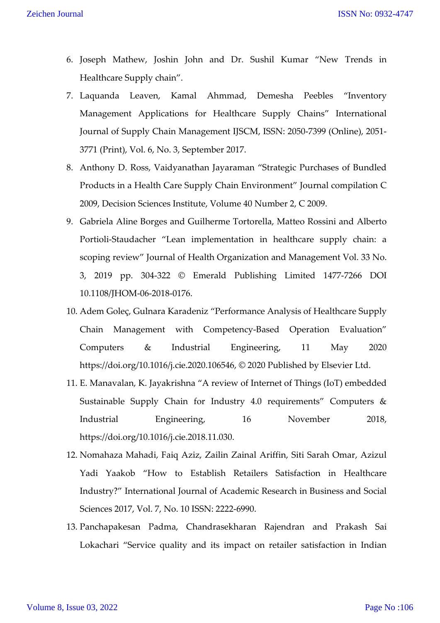ISSN No: 0932-4747

- 6. Joseph Mathew, Joshin John and Dr. Sushil Kumar "New Trends in Healthcare Supply chain".
- 7. Laquanda Leaven, Kamal Ahmmad, Demesha Peebles "Inventory Management Applications for Healthcare Supply Chains" International Journal of Supply Chain Management IJSCM, ISSN: 2050-7399 (Online), 2051- 3771 (Print), Vol. 6, No. 3, September 2017.
- 8. Anthony D. Ross, Vaidyanathan Jayaraman "Strategic Purchases of Bundled Products in a Health Care Supply Chain Environment" Journal compilation C 2009, Decision Sciences Institute, Volume 40 Number 2, C 2009.
- 9. Gabriela Aline Borges and Guilherme Tortorella, Matteo Rossini and Alberto Portioli-Staudacher "Lean implementation in healthcare supply chain: a scoping review" Journal of Health Organization and Management Vol. 33 No. 3, 2019 pp. 304-322 © Emerald Publishing Limited 1477-7266 DOI 10.1108/JHOM-06-2018-0176.
- 10. Adem Goleç, Gulnara Karadeniz "Performance Analysis of Healthcare Supply Chain Management with Competency-Based Operation Evaluation" Computers & Industrial Engineering, 11 May 2020 https://doi.org/10.1016/j.cie.2020.106546, © 2020 Published by Elsevier Ltd.
- 11. E. Manavalan, K. Jayakrishna "A review of Internet of Things (IoT) embedded Sustainable Supply Chain for Industry 4.0 requirements" Computers & Industrial Engineering, 16 November 2018, https://doi.org/10.1016/j.cie.2018.11.030.
- 12. Nomahaza Mahadi, Faiq Aziz, Zailin Zainal Ariffin, Siti Sarah Omar, Azizul Yadi Yaakob "How to Establish Retailers Satisfaction in Healthcare Industry?" International Journal of Academic Research in Business and Social Sciences 2017, Vol. 7, No. 10 ISSN: 2222-6990.
- 13. Panchapakesan Padma, Chandrasekharan Rajendran and Prakash Sai Lokachari "Service quality and its impact on retailer satisfaction in Indian